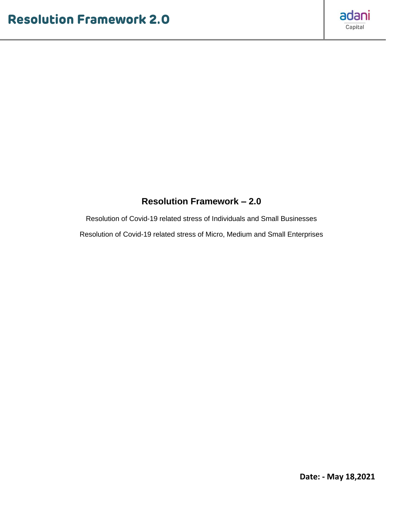

## **Resolution Framework – 2.0**

Resolution of Covid-19 related stress of Individuals and Small Businesses Resolution of Covid-19 related stress of Micro, Medium and Small Enterprises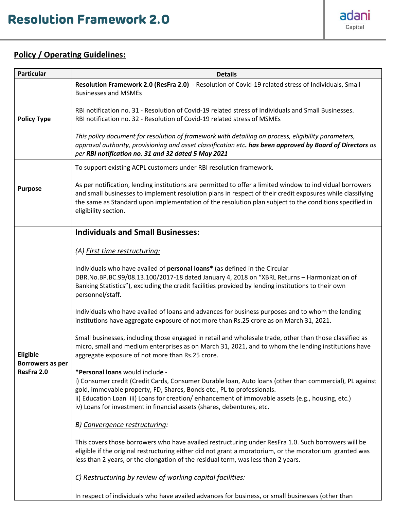

## **Policy / Operating Guidelines:**

| <b>Particular</b>                                 | <b>Details</b>                                                                                                                                                                                                                                                                                                                                                                                     |
|---------------------------------------------------|----------------------------------------------------------------------------------------------------------------------------------------------------------------------------------------------------------------------------------------------------------------------------------------------------------------------------------------------------------------------------------------------------|
| <b>Policy Type</b>                                | Resolution Framework 2.0 (ResFra 2.0) - Resolution of Covid-19 related stress of Individuals, Small<br><b>Businesses and MSMEs</b>                                                                                                                                                                                                                                                                 |
|                                                   | RBI notification no. 31 - Resolution of Covid-19 related stress of Individuals and Small Businesses.<br>RBI notification no. 32 - Resolution of Covid-19 related stress of MSMEs                                                                                                                                                                                                                   |
|                                                   | This policy document for resolution of framework with detailing on process, eligibility parameters,<br>approval authority, provisioning and asset classification etc. has been approved by Board of Directors as<br>per RBI notification no. 31 and 32 dated 5 May 2021                                                                                                                            |
|                                                   | To support existing ACPL customers under RBI resolution framework.                                                                                                                                                                                                                                                                                                                                 |
| <b>Purpose</b>                                    | As per notification, lending institutions are permitted to offer a limited window to individual borrowers<br>and small businesses to implement resolution plans in respect of their credit exposures while classifying<br>the same as Standard upon implementation of the resolution plan subject to the conditions specified in<br>eligibility section.                                           |
|                                                   | <b>Individuals and Small Businesses:</b>                                                                                                                                                                                                                                                                                                                                                           |
|                                                   | (A) First time restructuring:                                                                                                                                                                                                                                                                                                                                                                      |
| <b>Eligible</b><br>Borrowers as per<br>ResFra 2.0 | Individuals who have availed of personal loans* (as defined in the Circular<br>DBR.No.BP.BC.99/08.13.100/2017-18 dated January 4, 2018 on "XBRL Returns - Harmonization of<br>Banking Statistics"), excluding the credit facilities provided by lending institutions to their own<br>personnel/staff.                                                                                              |
|                                                   | Individuals who have availed of loans and advances for business purposes and to whom the lending<br>institutions have aggregate exposure of not more than Rs.25 crore as on March 31, 2021.                                                                                                                                                                                                        |
|                                                   | Small businesses, including those engaged in retail and wholesale trade, other than those classified as<br>micro, small and medium enterprises as on March 31, 2021, and to whom the lending institutions have<br>aggregate exposure of not more than Rs.25 crore.                                                                                                                                 |
|                                                   | *Personal loans would include -<br>i) Consumer credit (Credit Cards, Consumer Durable Ioan, Auto Ioans (other than commercial), PL against<br>gold, immovable property, FD, Shares, Bonds etc., PL to professionals.<br>ii) Education Loan iii) Loans for creation/enhancement of immovable assets (e.g., housing, etc.)<br>iv) Loans for investment in financial assets (shares, debentures, etc. |
|                                                   | B) Convergence restructuring:                                                                                                                                                                                                                                                                                                                                                                      |
|                                                   | This covers those borrowers who have availed restructuring under ResFra 1.0. Such borrowers will be<br>eligible if the original restructuring either did not grant a moratorium, or the moratorium granted was<br>less than 2 years, or the elongation of the residual term, was less than 2 years.                                                                                                |
|                                                   | C) Restructuring by review of working capital facilities:                                                                                                                                                                                                                                                                                                                                          |
|                                                   | In respect of individuals who have availed advances for business, or small businesses (other than                                                                                                                                                                                                                                                                                                  |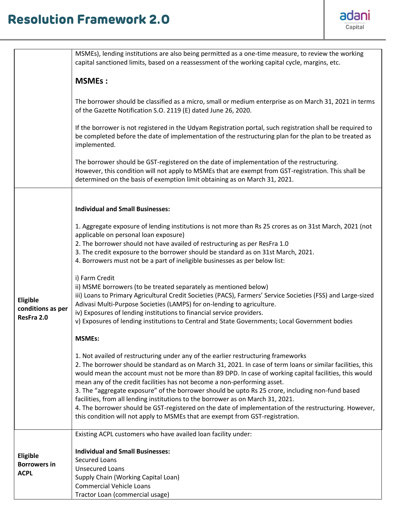## **Resolution Framework 2.0**



|                                                | MSMEs), lending institutions are also being permitted as a one-time measure, to review the working<br>capital sanctioned limits, based on a reassessment of the working capital cycle, margins, etc.                                                                                                                                                                                                                                                                                                                                                                                                                                                                                                                                                                   |
|------------------------------------------------|------------------------------------------------------------------------------------------------------------------------------------------------------------------------------------------------------------------------------------------------------------------------------------------------------------------------------------------------------------------------------------------------------------------------------------------------------------------------------------------------------------------------------------------------------------------------------------------------------------------------------------------------------------------------------------------------------------------------------------------------------------------------|
|                                                | <b>MSMEs:</b>                                                                                                                                                                                                                                                                                                                                                                                                                                                                                                                                                                                                                                                                                                                                                          |
|                                                | The borrower should be classified as a micro, small or medium enterprise as on March 31, 2021 in terms<br>of the Gazette Notification S.O. 2119 (E) dated June 26, 2020.                                                                                                                                                                                                                                                                                                                                                                                                                                                                                                                                                                                               |
|                                                | If the borrower is not registered in the Udyam Registration portal, such registration shall be required to<br>be completed before the date of implementation of the restructuring plan for the plan to be treated as<br>implemented.                                                                                                                                                                                                                                                                                                                                                                                                                                                                                                                                   |
|                                                | The borrower should be GST-registered on the date of implementation of the restructuring.<br>However, this condition will not apply to MSMEs that are exempt from GST-registration. This shall be<br>determined on the basis of exemption limit obtaining as on March 31, 2021.                                                                                                                                                                                                                                                                                                                                                                                                                                                                                        |
|                                                | <b>Individual and Small Businesses:</b>                                                                                                                                                                                                                                                                                                                                                                                                                                                                                                                                                                                                                                                                                                                                |
| Eligible<br>conditions as per<br>ResFra 2.0    | 1. Aggregate exposure of lending institutions is not more than Rs 25 crores as on 31st March, 2021 (not<br>applicable on personal loan exposure)<br>2. The borrower should not have availed of restructuring as per ResFra 1.0<br>3. The credit exposure to the borrower should be standard as on 31st March, 2021.<br>4. Borrowers must not be a part of ineligible businesses as per below list:                                                                                                                                                                                                                                                                                                                                                                     |
|                                                | i) Farm Credit<br>ii) MSME borrowers (to be treated separately as mentioned below)<br>iii) Loans to Primary Agricultural Credit Societies (PACS), Farmers' Service Societies (FSS) and Large-sized<br>Adivasi Multi-Purpose Societies (LAMPS) for on-lending to agriculture.<br>iv) Exposures of lending institutions to financial service providers.<br>v) Exposures of lending institutions to Central and State Governments; Local Government bodies                                                                                                                                                                                                                                                                                                                |
|                                                | <b>MSMEs:</b>                                                                                                                                                                                                                                                                                                                                                                                                                                                                                                                                                                                                                                                                                                                                                          |
|                                                | 1. Not availed of restructuring under any of the earlier restructuring frameworks<br>2. The borrower should be standard as on March 31, 2021. In case of term loans or similar facilities, this<br>would mean the account must not be more than 89 DPD. In case of working capital facilities, this would<br>mean any of the credit facilities has not become a non-performing asset.<br>3. The "aggregate exposure" of the borrower should be upto Rs 25 crore, including non-fund based<br>facilities, from all lending institutions to the borrower as on March 31, 2021.<br>4. The borrower should be GST-registered on the date of implementation of the restructuring. However,<br>this condition will not apply to MSMEs that are exempt from GST-registration. |
|                                                | Existing ACPL customers who have availed loan facility under:                                                                                                                                                                                                                                                                                                                                                                                                                                                                                                                                                                                                                                                                                                          |
| Eligible<br><b>Borrowers in</b><br><b>ACPL</b> | <b>Individual and Small Businesses:</b><br>Secured Loans<br><b>Unsecured Loans</b><br>Supply Chain (Working Capital Loan)<br><b>Commercial Vehicle Loans</b><br>Tractor Loan (commercial usage)                                                                                                                                                                                                                                                                                                                                                                                                                                                                                                                                                                        |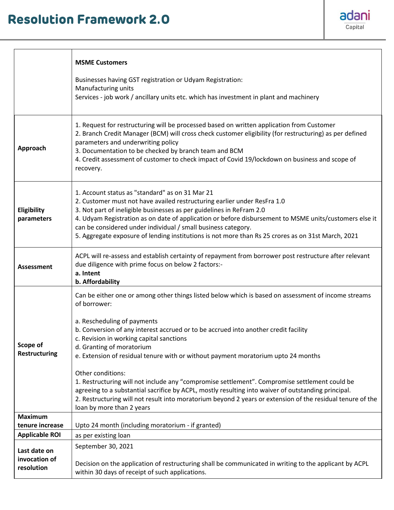## **Resolution Framework 2.0**



|                                             | <b>MSME Customers</b>                                                                                                                                                                                                                                                                                                                                                                                                                                                                                                                                                                                                                                                                                                                                                           |
|---------------------------------------------|---------------------------------------------------------------------------------------------------------------------------------------------------------------------------------------------------------------------------------------------------------------------------------------------------------------------------------------------------------------------------------------------------------------------------------------------------------------------------------------------------------------------------------------------------------------------------------------------------------------------------------------------------------------------------------------------------------------------------------------------------------------------------------|
|                                             | Businesses having GST registration or Udyam Registration:<br>Manufacturing units<br>Services - job work / ancillary units etc. which has investment in plant and machinery                                                                                                                                                                                                                                                                                                                                                                                                                                                                                                                                                                                                      |
| Approach                                    | 1. Request for restructuring will be processed based on written application from Customer<br>2. Branch Credit Manager (BCM) will cross check customer eligibility (for restructuring) as per defined<br>parameters and underwriting policy<br>3. Documentation to be checked by branch team and BCM<br>4. Credit assessment of customer to check impact of Covid 19/lockdown on business and scope of<br>recovery.                                                                                                                                                                                                                                                                                                                                                              |
| Eligibility<br>parameters                   | 1. Account status as "standard" as on 31 Mar 21<br>2. Customer must not have availed restructuring earlier under ResFra 1.0<br>3. Not part of ineligible businesses as per guidelines in ReFram 2.0<br>4. Udyam Registration as on date of application or before disbursement to MSME units/customers else it<br>can be considered under individual / small business category.<br>5. Aggregate exposure of lending institutions is not more than Rs 25 crores as on 31st March, 2021                                                                                                                                                                                                                                                                                            |
| <b>Assessment</b>                           | ACPL will re-assess and establish certainty of repayment from borrower post restructure after relevant<br>due diligence with prime focus on below 2 factors:-<br>a. Intent<br>b. Affordability                                                                                                                                                                                                                                                                                                                                                                                                                                                                                                                                                                                  |
| Scope of<br><b>Restructuring</b>            | Can be either one or among other things listed below which is based on assessment of income streams<br>of borrower:<br>a. Rescheduling of payments<br>b. Conversion of any interest accrued or to be accrued into another credit facility<br>c. Revision in working capital sanctions<br>d. Granting of moratorium<br>e. Extension of residual tenure with or without payment moratorium upto 24 months<br>Other conditions:<br>1. Restructuring will not include any "compromise settlement". Compromise settlement could be<br>agreeing to a substantial sacrifice by ACPL, mostly resulting into waiver of outstanding principal.<br>2. Restructuring will not result into moratorium beyond 2 years or extension of the residual tenure of the<br>loan by more than 2 years |
| <b>Maximum</b>                              |                                                                                                                                                                                                                                                                                                                                                                                                                                                                                                                                                                                                                                                                                                                                                                                 |
| tenure increase                             | Upto 24 month (including moratorium - if granted)                                                                                                                                                                                                                                                                                                                                                                                                                                                                                                                                                                                                                                                                                                                               |
| <b>Applicable ROI</b>                       | as per existing loan                                                                                                                                                                                                                                                                                                                                                                                                                                                                                                                                                                                                                                                                                                                                                            |
| Last date on<br>invocation of<br>resolution | September 30, 2021<br>Decision on the application of restructuring shall be communicated in writing to the applicant by ACPL<br>within 30 days of receipt of such applications.                                                                                                                                                                                                                                                                                                                                                                                                                                                                                                                                                                                                 |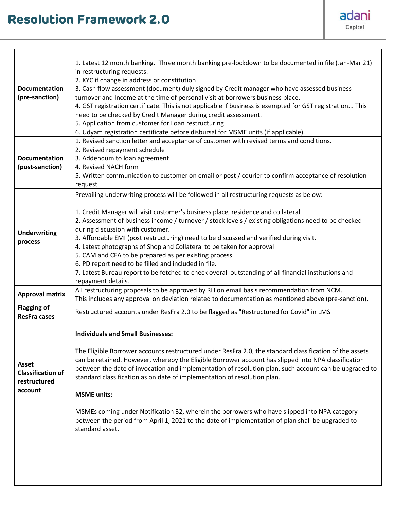

| <b>Documentation</b><br>(pre-sanction)                              | 1. Latest 12 month banking. Three month banking pre-lockdown to be documented in file (Jan-Mar 21)<br>in restructuring requests.<br>2. KYC if change in address or constitution<br>3. Cash flow assessment (document) duly signed by Credit manager who have assessed business<br>turnover and Income at the time of personal visit at borrowers business place.<br>4. GST registration certificate. This is not applicable if business is exempted for GST registration This<br>need to be checked by Credit Manager during credit assessment.<br>5. Application from customer for Loan restructuring<br>6. Udyam registration certificate before disbursal for MSME units (if applicable).                                                |
|---------------------------------------------------------------------|---------------------------------------------------------------------------------------------------------------------------------------------------------------------------------------------------------------------------------------------------------------------------------------------------------------------------------------------------------------------------------------------------------------------------------------------------------------------------------------------------------------------------------------------------------------------------------------------------------------------------------------------------------------------------------------------------------------------------------------------|
| <b>Documentation</b><br>(post-sanction)                             | 1. Revised sanction letter and acceptance of customer with revised terms and conditions.<br>2. Revised repayment schedule<br>3. Addendum to loan agreement<br>4. Revised NACH form<br>5. Written communication to customer on email or post / courier to confirm acceptance of resolution<br>request                                                                                                                                                                                                                                                                                                                                                                                                                                        |
| <b>Underwriting</b><br>process                                      | Prevailing underwriting process will be followed in all restructuring requests as below:<br>1. Credit Manager will visit customer's business place, residence and collateral.<br>2. Assessment of business income / turnover / stock levels / existing obligations need to be checked<br>during discussion with customer.<br>3. Affordable EMI (post restructuring) need to be discussed and verified during visit.<br>4. Latest photographs of Shop and Collateral to be taken for approval<br>5. CAM and CFA to be prepared as per existing process<br>6. PD report need to be filled and included in file.<br>7. Latest Bureau report to be fetched to check overall outstanding of all financial institutions and<br>repayment details. |
| <b>Approval matrix</b>                                              | All restructuring proposals to be approved by RH on email basis recommendation from NCM.<br>This includes any approval on deviation related to documentation as mentioned above (pre-sanction).                                                                                                                                                                                                                                                                                                                                                                                                                                                                                                                                             |
| <b>Flagging of</b><br><b>ResFra cases</b>                           | Restructured accounts under ResFra 2.0 to be flagged as "Restructured for Covid" in LMS                                                                                                                                                                                                                                                                                                                                                                                                                                                                                                                                                                                                                                                     |
| <b>Asset</b><br><b>Classification of</b><br>restructured<br>account | <b>Individuals and Small Businesses:</b><br>The Eligible Borrower accounts restructured under ResFra 2.0, the standard classification of the assets<br>can be retained. However, whereby the Eligible Borrower account has slipped into NPA classification<br>between the date of invocation and implementation of resolution plan, such account can be upgraded to<br>standard classification as on date of implementation of resolution plan.<br><b>MSME</b> units:<br>MSMEs coming under Notification 32, wherein the borrowers who have slipped into NPA category<br>between the period from April 1, 2021 to the date of implementation of plan shall be upgraded to<br>standard asset.                                                |